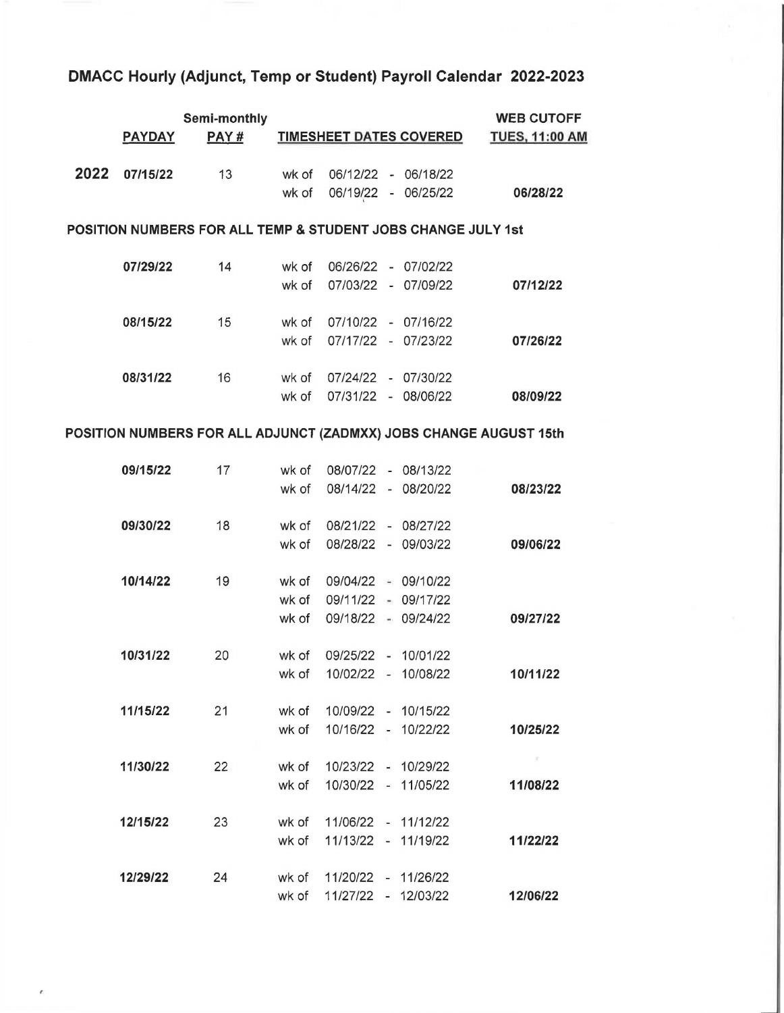## **DMACC Hourly (Adjunct, Temp or Student) Payroll Calendar 2022-2023**

|      |               | Semi-monthly                                                 |       |                           |                                | <b>WEB CUTOFF</b>                                                 |
|------|---------------|--------------------------------------------------------------|-------|---------------------------|--------------------------------|-------------------------------------------------------------------|
|      | <b>PAYDAY</b> | PAY#                                                         |       |                           | <b>TIMESHEET DATES COVERED</b> | <b>TUES, 11:00 AM</b>                                             |
|      |               |                                                              |       |                           |                                |                                                                   |
| 2022 | 07/15/22      | 13                                                           | wk of |                           | 06/12/22 - 06/18/22            |                                                                   |
|      |               |                                                              | wk of |                           | 06/19/22 - 06/25/22            | 06/28/22                                                          |
|      |               | POSITION NUMBERS FOR ALL TEMP & STUDENT JOBS CHANGE JULY 1st |       |                           |                                |                                                                   |
|      | 07/29/22      | 14                                                           | wk of |                           | 06/26/22 - 07/02/22            |                                                                   |
|      |               |                                                              | wk of |                           | 07/03/22 - 07/09/22            | 07/12/22                                                          |
|      | 08/15/22      | 15                                                           |       | wk of 07/10/22 - 07/16/22 |                                |                                                                   |
|      |               |                                                              |       |                           |                                |                                                                   |
|      |               |                                                              | wk of |                           | 07/17/22 - 07/23/22            | 07/26/22                                                          |
|      | 08/31/22      | 16                                                           |       | wk of 07/24/22 - 07/30/22 |                                |                                                                   |
|      |               |                                                              | wk of |                           | 07/31/22 - 08/06/22            | 08/09/22                                                          |
|      |               |                                                              |       |                           |                                | POSITION NUMBERS FOR ALL ADJUNCT (ZADMXX) JOBS CHANGE AUGUST 15th |
|      | 09/15/22      | 17                                                           | wk of |                           | 08/07/22 - 08/13/22            |                                                                   |
|      |               |                                                              | wk of |                           | 08/14/22 - 08/20/22            | 08/23/22                                                          |
|      |               |                                                              |       |                           |                                |                                                                   |
|      | 09/30/22      | 18                                                           | wk of |                           | 08/21/22 - 08/27/22            |                                                                   |
|      |               |                                                              | wk of |                           | 08/28/22 - 09/03/22            | 09/06/22                                                          |
|      | 10/14/22      | 19                                                           |       | wk of 09/04/22 - 09/10/22 |                                |                                                                   |
|      |               |                                                              |       | wk of 09/11/22 - 09/17/22 |                                |                                                                   |
|      |               |                                                              | wk of | 09/18/22 - 09/24/22       |                                | 09/27/22                                                          |
|      | 10/31/22      | 20                                                           |       | wk of 09/25/22 - 10/01/22 |                                |                                                                   |
|      |               |                                                              | wk of | 10/02/22 - 10/08/22       |                                | 10/11/22                                                          |
|      |               |                                                              |       |                           |                                |                                                                   |
|      | 11/15/22      | 21                                                           | wk of | 10/09/22 - 10/15/22       |                                |                                                                   |
|      |               |                                                              | wk of | 10/16/22 - 10/22/22       |                                | 10/25/22                                                          |
|      | 11/30/22      | 22                                                           | wk of | 10/23/22 - 10/29/22       |                                | R                                                                 |
|      |               |                                                              | wk of | 10/30/22 - 11/05/22       |                                | 11/08/22                                                          |
|      |               |                                                              |       |                           |                                |                                                                   |
|      | 12/15/22      | 23                                                           | wk of | 11/06/22 - 11/12/22       |                                |                                                                   |
|      |               |                                                              | wk of | 11/13/22 - 11/19/22       |                                | 11/22/22                                                          |
|      | 12/29/22      | 24                                                           | wk of | 11/20/22 - 11/26/22       |                                |                                                                   |
|      |               |                                                              | wk of | 11/27/22 - 12/03/22       |                                | 12/06/22                                                          |

 $\epsilon$